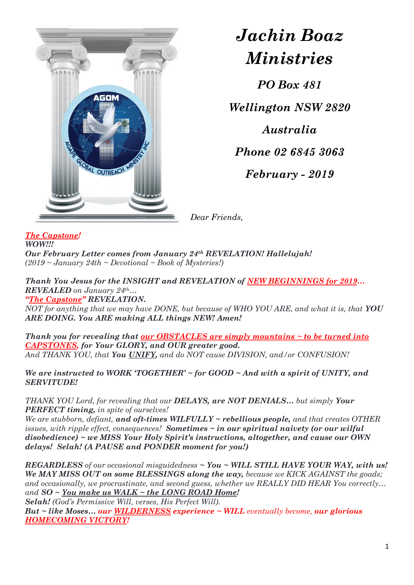

*Jachin Boaz Ministries*

*PO Box 481 Wellington NSW 2820 Australia Phone 02 6845 3063 February - 2019*

*Dear Friends,*

## *The Capstone!*

*WOW!!! Our February Letter comes from January 24th REVELATION! Hallelujah! (2019 ~ January 24th ~ Devotional ~ Book of Mysteries!)*

*Thank You Jesus for the INSIGHT and REVELATION of NEW BEGINNINGS for 2019… REVEALED on January 24th… "The Capstone" REVELATION.*

*NOT for anything that we may have DONE, but because of WHO YOU ARE, and what it is, that YOU ARE DOING. You ARE making ALL things NEW! Amen!*

*Thank you for revealing that our OBSTACLES are simply mountains ~ to be turned into CAPSTONES, for Your GLORY, and OUR greater good. And THANK YOU, that You UNIFY, and do NOT cause DIVISION, and/or CONFUSION!*

*We are instructed to WORK 'TOGETHER' ~ for GOOD ~ And with a spirit of UNITY, and SERVITUDE!*

*THANK YOU Lord, for revealing that our DELAYS, are NOT DENIALS… but simply Your PERFECT timing, in spite of ourselves!*

*We are stubborn, defiant, and oft-times WILFULLY ~ rebellious people, and that creates OTHER issues, with ripple effect, consequences! Sometimes ~ in our spiritual naivety (or our wilful disobedience) ~ we MISS Your Holy Spirit's instructions, altogether, and cause our OWN delays! Selah! (A PAUSE and PONDER moment for you!)*

*REGARDLESS of our occasional misguidedness ~ You ~ WILL STILL HAVE YOUR WAY, with us! We MAY MISS OUT on some BLESSINGS along the way, because we KICK AGAINST the goads; and occasionally, we procrastinate, and second guess, whether we REALLY DID HEAR You correctly… and SO ~ You make us WALK ~ the LONG ROAD Home!* 

*Selah! (God's Permissive Will, verses, His Perfect Will). But ~ like Moses… our WILDERNESS experience ~ WILL eventually become, our glorious HOMECOMING VICTORY!*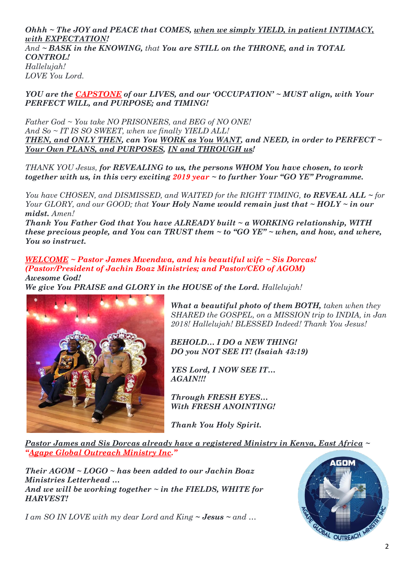*Ohhh ~ The JOY and PEACE that COMES, when we simply YIELD, in patient INTIMACY, with EXPECTATION! And ~ BASK in the KNOWING, that You are STILL on the THRONE, and in TOTAL CONTROL! Hallelujah! LOVE You Lord.*

*YOU are the CAPSTONE of our LIVES, and our 'OCCUPATION' ~ MUST align, with Your PERFECT WILL, and PURPOSE; and TIMING!*

*Father God ~ You take NO PRISONERS, and BEG of NO ONE! And So ~ IT IS SO SWEET, when we finally YIELD ALL! THEN, and ONLY THEN, can You WORK as You WANT, and NEED, in order to PERFECT ~ Your Own PLANS, and PURPOSES, IN and THROUGH us!*

*THANK YOU Jesus, for REVEALING to us, the persons WHOM You have chosen, to work together with us, in this very exciting 2019 year ~ to further Your "GO YE" Programme.* 

*You have CHOSEN, and DISMISSED, and WAITED for the RIGHT TIMING, to REVEAL ALL ~ for Your GLORY, and our GOOD; that Your Holy Name would remain just that ~ HOLY ~ in our midst. Amen!*

*Thank You Father God that You have ALREADY built ~ a WORKING relationship, WITH these precious people, and You can TRUST them ~ to "GO YE" ~ when, and how, and where, You so instruct.*

*WELCOME ~ Pastor James Mwendwa, and his beautiful wife ~ Sis Dorcas! (Pastor/President of Jachin Boaz Ministries; and Pastor/CEO of AGOM) Awesome God!* 

*We give You PRAISE and GLORY in the HOUSE of the Lord. Hallelujah!*



*What a beautiful photo of them BOTH, taken when they SHARED the GOSPEL, on a MISSION trip to INDIA, in Jan 2018! Hallelujah! BLESSED Indeed! Thank You Jesus!*

*BEHOLD… I DO a NEW THING! DO you NOT SEE IT! (Isaiah 43:19)*

*YES Lord, I NOW SEE IT… AGAIN!!!*

*Through FRESH EYES… With FRESH ANOINTING!*

*Thank You Holy Spirit.* 

*Pastor James and Sis Dorcas already have a registered Ministry in Kenya, East Africa ~ "Agape Global Outreach Ministry Inc."*

*Their AGOM ~ LOGO ~ has been added to our Jachin Boaz Ministries Letterhead … And we will be working together ~ in the FIELDS, WHITE for HARVEST!*

*I am SO IN LOVE with my dear Lord and King ~ Jesus ~ and …*